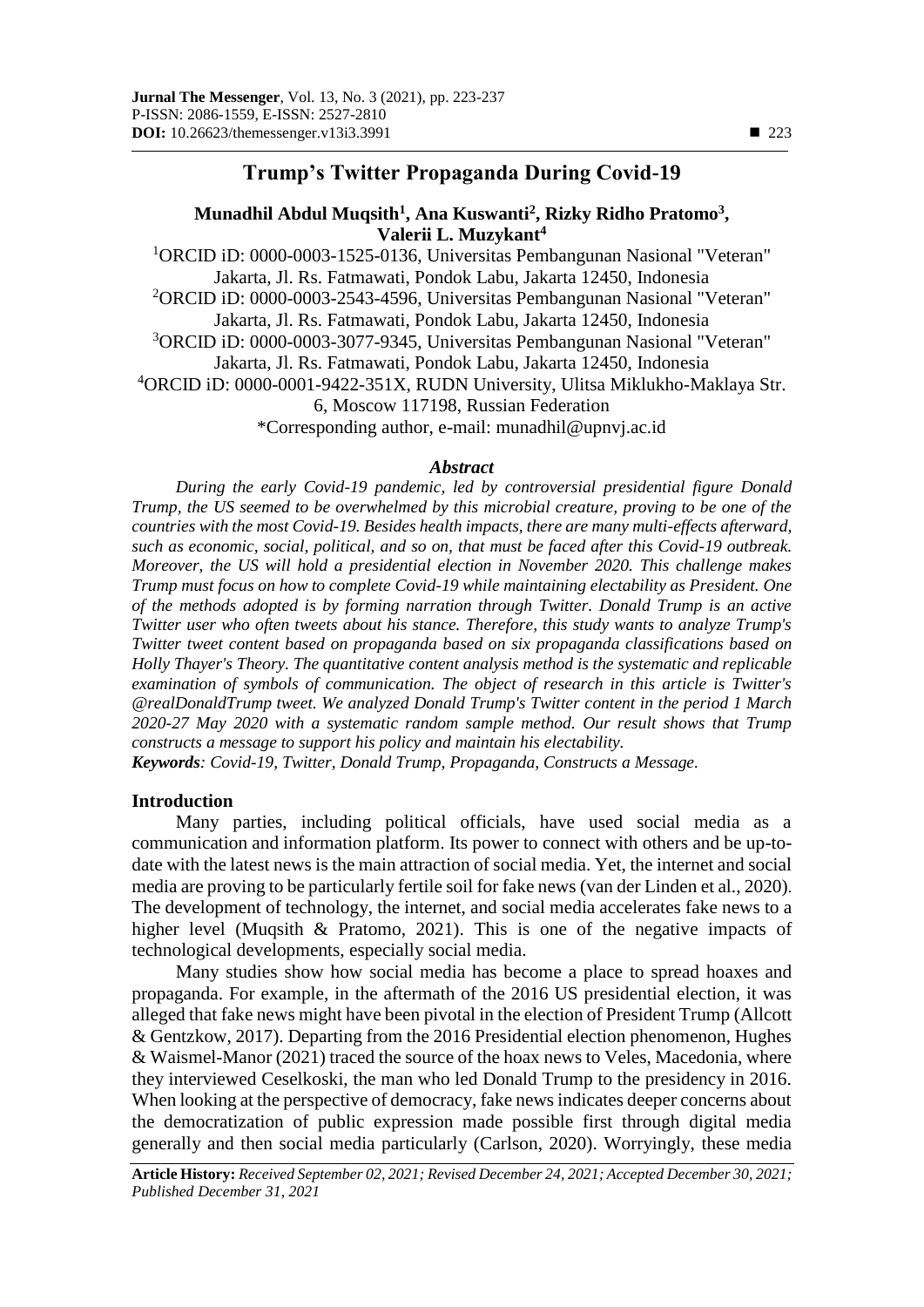# **Trump's Twitter Propaganda During Covid-19**

# **Munadhil Abdul Muqsith<sup>1</sup> , Ana Kuswanti<sup>2</sup> , Rizky Ridho Pratomo<sup>3</sup> , Valerii L. Muzykant<sup>4</sup>**

<sup>1</sup>ORCID iD: 0000-0003-1525-0136, Universitas Pembangunan Nasional "Veteran" Jakarta, Jl. Rs. Fatmawati, Pondok Labu, Jakarta 12450, Indonesia <sup>2</sup>ORCID iD: 0000-0003-2543-4596, Universitas Pembangunan Nasional "Veteran" Jakarta, Jl. Rs. Fatmawati, Pondok Labu, Jakarta 12450, Indonesia <sup>3</sup>[ORCID iD: 0000-0003-3077-9345,](https://orcid.org/0000-0003-3077-9345) Universitas Pembangunan Nasional "Veteran" Jakarta, Jl. Rs. Fatmawati, Pondok Labu, Jakarta 12450, Indonesia <sup>4</sup>[ORCID iD: 0000-0001-9422-351X,](https://orcid.org/0000-0001-9422-351X) RUDN University, Ulitsa Miklukho-Maklaya Str. 6, Moscow 117198, Russian Federation \*Corresponding author, e-mail: [munadhil@upnvj.ac.id](mailto:munadhil@upnvj.ac.id)

#### *Abstract*

*During the early Covid-19 pandemic, led by controversial presidential figure Donald Trump, the US seemed to be overwhelmed by this microbial creature, proving to be one of the countries with the most Covid-19. Besides health impacts, there are many multi-effects afterward, such as economic, social, political, and so on, that must be faced after this Covid-19 outbreak. Moreover, the US will hold a presidential election in November 2020. This challenge makes Trump must focus on how to complete Covid-19 while maintaining electability as President. One of the methods adopted is by forming narration through Twitter. Donald Trump is an active Twitter user who often tweets about his stance. Therefore, this study wants to analyze Trump's Twitter tweet content based on propaganda based on six propaganda classifications based on Holly Thayer's Theory. The quantitative content analysis method is the systematic and replicable examination of symbols of communication. The object of research in this article is Twitter's @realDonaldTrump tweet. We analyzed Donald Trump's Twitter content in the period 1 March 2020-27 May 2020 with a systematic random sample method. Our result shows that Trump constructs a message to support his policy and maintain his electability.*

*Keywords: Covid-19, Twitter, Donald Trump, Propaganda, Constructs a Message.*

### **Introduction**

Many parties, including political officials, have used social media as a communication and information platform. Its power to connect with others and be up-todate with the latest news is the main attraction of social media. Yet, the internet and social media are proving to be particularly fertile soil for fake news (van der Linden et al., 2020). The development of technology, the internet, and social media accelerates fake news to a higher level (Muqsith & Pratomo, 2021). This is one of the negative impacts of technological developments, especially social media.

Many studies show how social media has become a place to spread hoaxes and propaganda. For example, in the aftermath of the 2016 US presidential election, it was alleged that fake news might have been pivotal in the election of President Trump (Allcott & Gentzkow, 2017). Departing from the 2016 Presidential election phenomenon, Hughes & Waismel-Manor (2021) traced the source of the hoax news to Veles, Macedonia, where they interviewed Ceselkoski, the man who led Donald Trump to the presidency in 2016. When looking at the perspective of democracy, fake news indicates deeper concerns about the democratization of public expression made possible first through digital media generally and then social media particularly (Carlson, 2020). Worryingly, these media

**Article History:** *Received September 02, 2021; Revised December 24, 2021; Accepted December 30, 2021; Published December 31, 2021*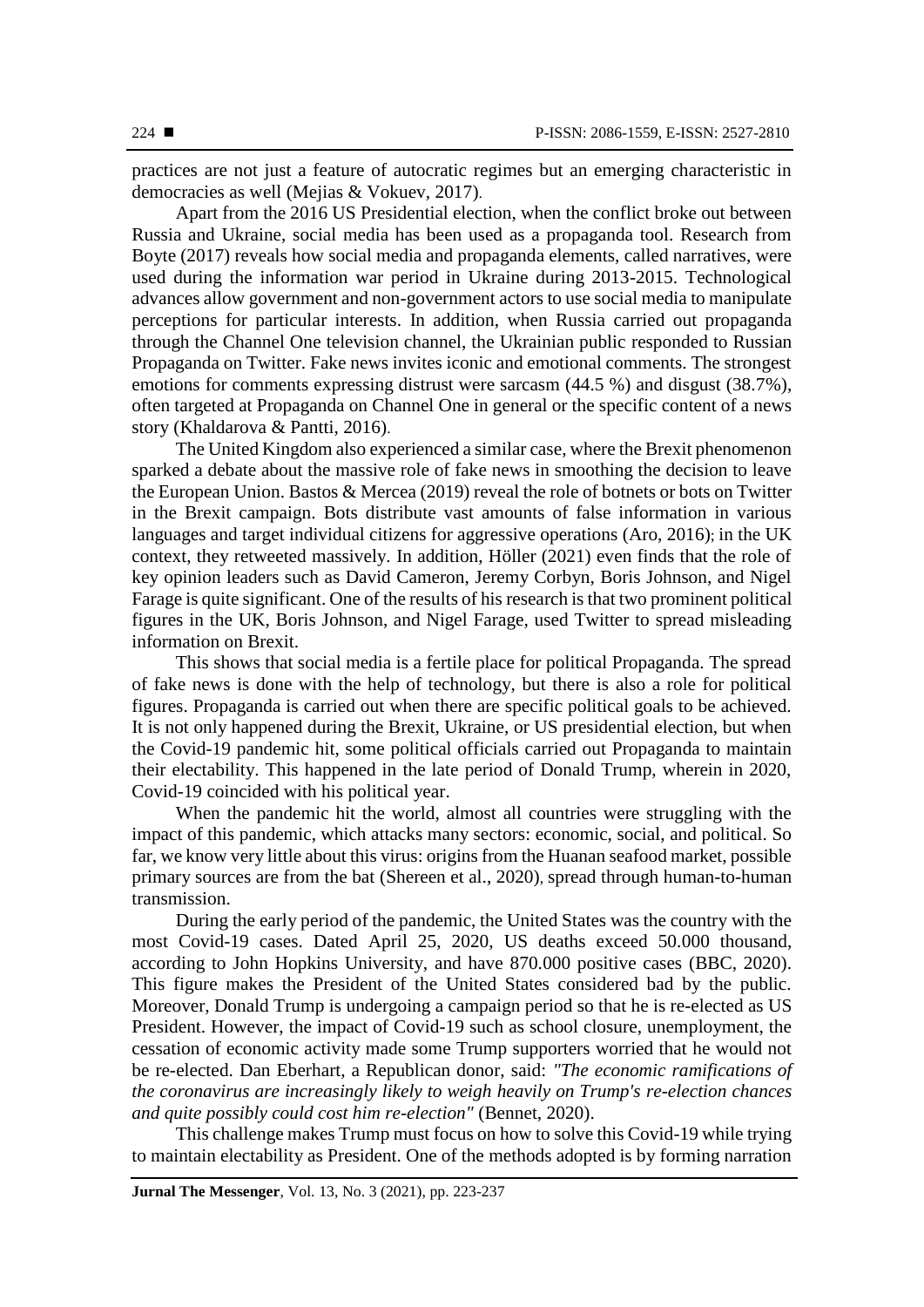practices are not just a feature of autocratic regimes but an emerging characteristic in democracies as well (Mejias & Vokuev, 2017).

Apart from the 2016 US Presidential election, when the conflict broke out between Russia and Ukraine, social media has been used as a propaganda tool. Research from Boyte (2017) reveals how social media and propaganda elements, called narratives, were used during the information war period in Ukraine during 2013-2015. Technological advances allow government and non-government actors to use social media to manipulate perceptions for particular interests. In addition, when Russia carried out propaganda through the Channel One television channel, the Ukrainian public responded to Russian Propaganda on Twitter. Fake news invites iconic and emotional comments. The strongest emotions for comments expressing distrust were sarcasm (44.5 %) and disgust (38.7%), often targeted at Propaganda on Channel One in general or the specific content of a news story (Khaldarova & Pantti, 2016).

The United Kingdom also experienced a similar case, where the Brexit phenomenon sparked a debate about the massive role of fake news in smoothing the decision to leave the European Union. Bastos & Mercea (2019) reveal the role of botnets or bots on Twitter in the Brexit campaign. Bots distribute vast amounts of false information in various languages and target individual citizens for aggressive operations (Aro, 2016); in the UK context, they retweeted massively. In addition, Höller (2021) even finds that the role of key opinion leaders such as David Cameron, Jeremy Corbyn, Boris Johnson, and Nigel Farage is quite significant. One of the results of his research is that two prominent political figures in the UK, Boris Johnson, and Nigel Farage, used Twitter to spread misleading information on Brexit.

This shows that social media is a fertile place for political Propaganda. The spread of fake news is done with the help of technology, but there is also a role for political figures. Propaganda is carried out when there are specific political goals to be achieved. It is not only happened during the Brexit, Ukraine, or US presidential election, but when the Covid-19 pandemic hit, some political officials carried out Propaganda to maintain their electability. This happened in the late period of Donald Trump, wherein in 2020, Covid-19 coincided with his political year.

When the pandemic hit the world, almost all countries were struggling with the impact of this pandemic, which attacks many sectors: economic, social, and political. So far, we know very little about this virus: origins from the Huanan seafood market, possible primary sources are from the bat (Shereen et al., 2020), spread through human-to-human transmission.

During the early period of the pandemic, the United States was the country with the most Covid-19 cases. Dated April 25, 2020, US deaths exceed 50.000 thousand, according to John Hopkins University, and have 870.000 positive cases (BBC, 2020). This figure makes the President of the United States considered bad by the public. Moreover, Donald Trump is undergoing a campaign period so that he is re-elected as US President. However, the impact of Covid-19 such as school closure, unemployment, the cessation of economic activity made some Trump supporters worried that he would not be re-elected. Dan Eberhart, a Republican donor, said: *"The economic ramifications of the coronavirus are increasingly likely to weigh heavily on Trump's re-election chances and quite possibly could cost him re-election"* (Bennet, 2020).

This challenge makes Trump must focus on how to solve this Covid-19 while trying to maintain electability as President. One of the methods adopted is by forming narration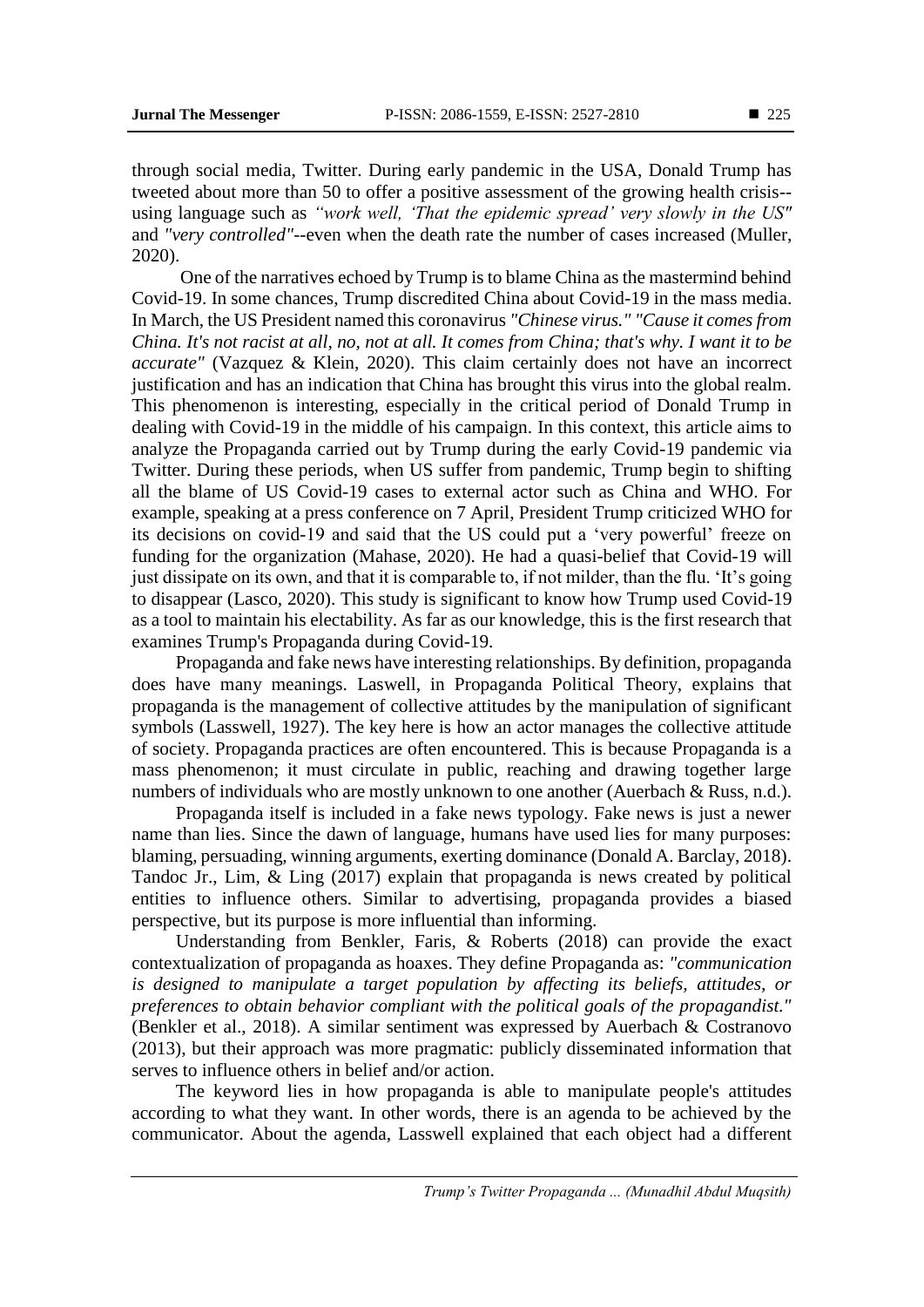through social media, Twitter. During early pandemic in the USA, Donald Trump has tweeted about more than 50 to offer a positive assessment of the growing health crisis- using language such as *"work well, 'That the epidemic spread' very slowly in the US"* and *"very controlled"*--even when the death rate the number of cases increased (Muller, 2020).

One of the narratives echoed by Trump is to blame China as the mastermind behind Covid-19. In some chances, Trump discredited China about Covid-19 in the mass media. In March, the US President named this coronavirus *"Chinese virus." "Cause it comes from China. It's not racist at all, no, not at all. It comes from China; that's why. I want it to be accurate"* (Vazquez & Klein, 2020). This claim certainly does not have an incorrect justification and has an indication that China has brought this virus into the global realm. This phenomenon is interesting, especially in the critical period of Donald Trump in dealing with Covid-19 in the middle of his campaign. In this context, this article aims to analyze the Propaganda carried out by Trump during the early Covid-19 pandemic via Twitter. During these periods, when US suffer from pandemic, Trump begin to shifting all the blame of US Covid-19 cases to external actor such as China and WHO. For example, speaking at a press conference on 7 April, President Trump criticized WHO for its decisions on covid-19 and said that the US could put a 'very powerful' freeze on funding for the organization (Mahase, 2020). He had a quasi-belief that Covid-19 will just dissipate on its own, and that it is comparable to, if not milder, than the flu. 'It's going to disappear (Lasco, 2020). This study is significant to know how Trump used Covid-19 as a tool to maintain his electability. As far as our knowledge, this is the first research that examines Trump's Propaganda during Covid-19.

Propaganda and fake news have interesting relationships. By definition, propaganda does have many meanings. Laswell, in Propaganda Political Theory, explains that propaganda is the management of collective attitudes by the manipulation of significant symbols (Lasswell, 1927). The key here is how an actor manages the collective attitude of society. Propaganda practices are often encountered. This is because Propaganda is a mass phenomenon; it must circulate in public, reaching and drawing together large numbers of individuals who are mostly unknown to one another (Auerbach & Russ, n.d.).

Propaganda itself is included in a fake news typology. Fake news is just a newer name than lies. Since the dawn of language, humans have used lies for many purposes: blaming, persuading, winning arguments, exerting dominance (Donald A. Barclay, 2018). Tandoc Jr., Lim, & Ling (2017) explain that propaganda is news created by political entities to influence others. Similar to advertising, propaganda provides a biased perspective, but its purpose is more influential than informing.

Understanding from Benkler, Faris, & Roberts (2018) can provide the exact contextualization of propaganda as hoaxes. They define Propaganda as: *"communication is designed to manipulate a target population by affecting its beliefs, attitudes, or preferences to obtain behavior compliant with the political goals of the propagandist."* (Benkler et al., 2018). A similar sentiment was expressed by Auerbach & Costranovo (2013), but their approach was more pragmatic: publicly disseminated information that serves to influence others in belief and/or action.

The keyword lies in how propaganda is able to manipulate people's attitudes according to what they want. In other words, there is an agenda to be achieved by the communicator. About the agenda, Lasswell explained that each object had a different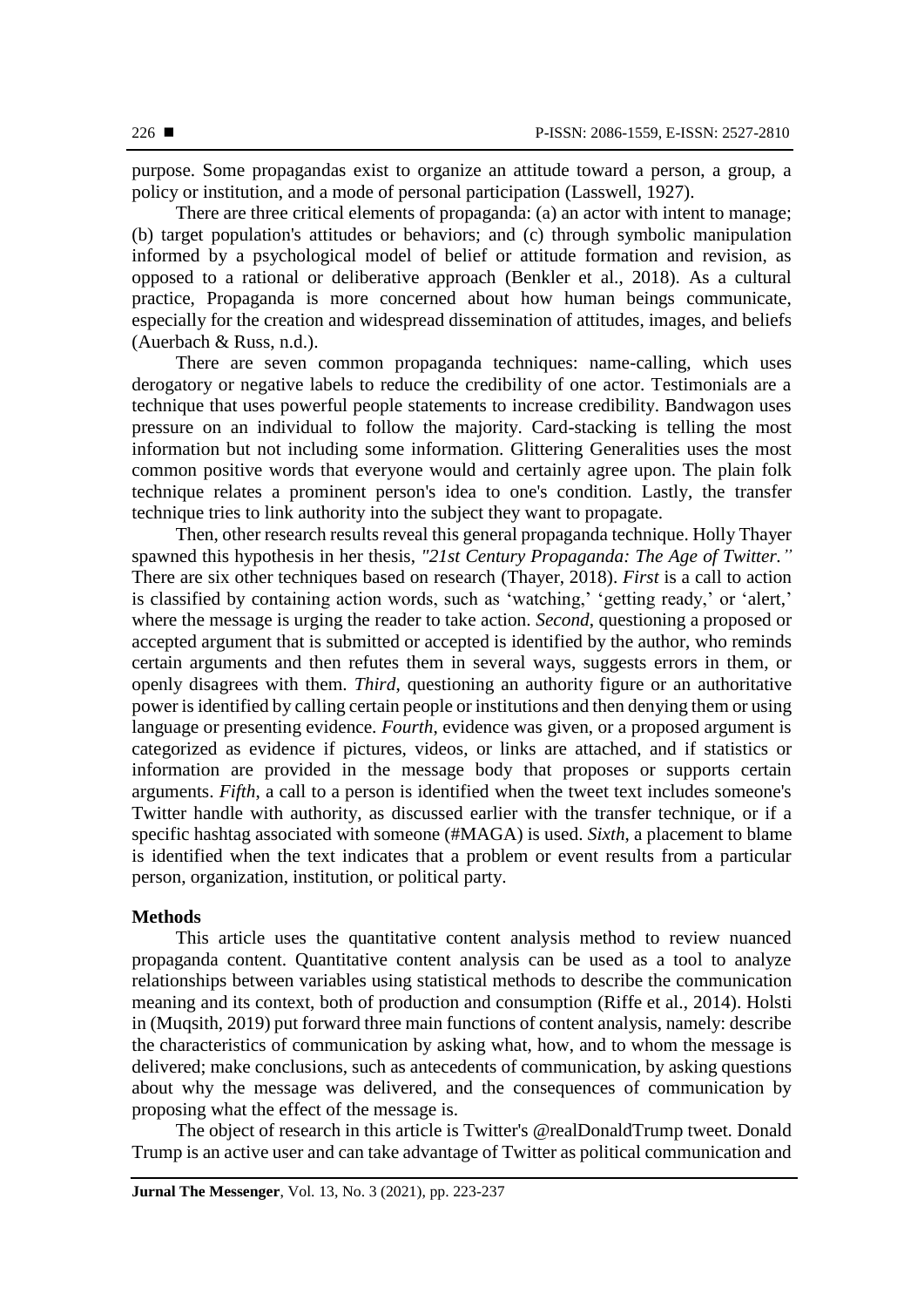purpose. Some propagandas exist to organize an attitude toward a person, a group, a policy or institution, and a mode of personal participation (Lasswell, 1927).

There are three critical elements of propaganda: (a) an actor with intent to manage; (b) target population's attitudes or behaviors; and (c) through symbolic manipulation informed by a psychological model of belief or attitude formation and revision, as opposed to a rational or deliberative approach (Benkler et al., 2018). As a cultural practice, Propaganda is more concerned about how human beings communicate, especially for the creation and widespread dissemination of attitudes, images, and beliefs (Auerbach & Russ, n.d.).

There are seven common propaganda techniques: name-calling, which uses derogatory or negative labels to reduce the credibility of one actor. Testimonials are a technique that uses powerful people statements to increase credibility. Bandwagon uses pressure on an individual to follow the majority. Card-stacking is telling the most information but not including some information. Glittering Generalities uses the most common positive words that everyone would and certainly agree upon. The plain folk technique relates a prominent person's idea to one's condition. Lastly, the transfer technique tries to link authority into the subject they want to propagate.

Then, other research results reveal this general propaganda technique. Holly Thayer spawned this hypothesis in her thesis, *"21st Century Propaganda: The Age of Twitter."* There are six other techniques based on research (Thayer, 2018). *First* is a call to action is classified by containing action words, such as 'watching,' 'getting ready,' or 'alert,' where the message is urging the reader to take action. *Second*, questioning a proposed or accepted argument that is submitted or accepted is identified by the author, who reminds certain arguments and then refutes them in several ways, suggests errors in them, or openly disagrees with them. *Third*, questioning an authority figure or an authoritative power is identified by calling certain people or institutions and then denying them or using language or presenting evidence. *Fourth*, evidence was given, or a proposed argument is categorized as evidence if pictures, videos, or links are attached, and if statistics or information are provided in the message body that proposes or supports certain arguments. *Fifth*, a call to a person is identified when the tweet text includes someone's Twitter handle with authority, as discussed earlier with the transfer technique, or if a specific hashtag associated with someone (#MAGA) is used. *Sixth*, a placement to blame is identified when the text indicates that a problem or event results from a particular person, organization, institution, or political party.

# **Methods**

This article uses the quantitative content analysis method to review nuanced propaganda content. Quantitative content analysis can be used as a tool to analyze relationships between variables using statistical methods to describe the communication meaning and its context, both of production and consumption (Riffe et al., 2014). Holsti in (Muqsith, 2019) put forward three main functions of content analysis, namely: describe the characteristics of communication by asking what, how, and to whom the message is delivered; make conclusions, such as antecedents of communication, by asking questions about why the message was delivered, and the consequences of communication by proposing what the effect of the message is.

The object of research in this article is Twitter's @realDonaldTrump tweet. Donald Trump is an active user and can take advantage of Twitter as political communication and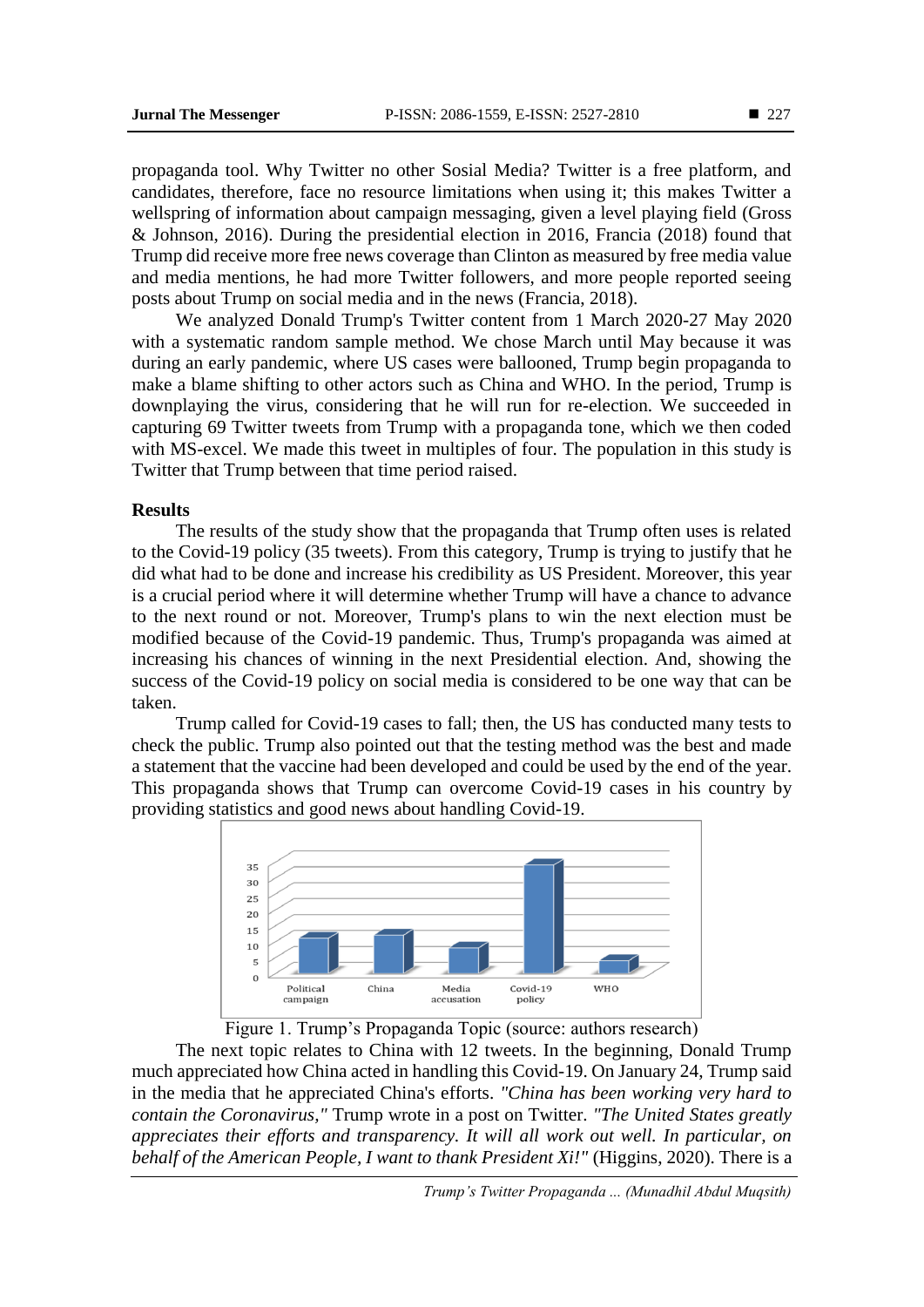propaganda tool. Why Twitter no other Sosial Media? Twitter is a free platform, and candidates, therefore, face no resource limitations when using it; this makes Twitter a wellspring of information about campaign messaging, given a level playing field (Gross & Johnson, 2016). During the presidential election in 2016, Francia (2018) found that Trump did receive more free news coverage than Clinton as measured by free media value and media mentions, he had more Twitter followers, and more people reported seeing

We analyzed Donald Trump's Twitter content from 1 March 2020-27 May 2020 with a systematic random sample method. We chose March until May because it was during an early pandemic, where US cases were ballooned, Trump begin propaganda to make a blame shifting to other actors such as China and WHO. In the period, Trump is downplaying the virus, considering that he will run for re-election. We succeeded in capturing 69 Twitter tweets from Trump with a propaganda tone, which we then coded with MS-excel. We made this tweet in multiples of four. The population in this study is Twitter that Trump between that time period raised.

posts about Trump on social media and in the news (Francia, 2018).

### **Results**

The results of the study show that the propaganda that Trump often uses is related to the Covid-19 policy (35 tweets). From this category, Trump is trying to justify that he did what had to be done and increase his credibility as US President. Moreover, this year is a crucial period where it will determine whether Trump will have a chance to advance to the next round or not. Moreover, Trump's plans to win the next election must be modified because of the Covid-19 pandemic. Thus, Trump's propaganda was aimed at increasing his chances of winning in the next Presidential election. And, showing the success of the Covid-19 policy on social media is considered to be one way that can be taken.

Trump called for Covid-19 cases to fall; then, the US has conducted many tests to check the public. Trump also pointed out that the testing method was the best and made a statement that the vaccine had been developed and could be used by the end of the year. This propaganda shows that Trump can overcome Covid-19 cases in his country by providing statistics and good news about handling Covid-19.



Figure 1. Trump's Propaganda Topic (source: authors research)

The next topic relates to China with 12 tweets. In the beginning, Donald Trump much appreciated how China acted in handling this Covid-19. On January 24, Trump said in the media that he appreciated China's efforts. *"China has been working very hard to contain the Coronavirus,"* Trump wrote in a post on Twitter. *"The United States greatly appreciates their efforts and transparency. It will all work out well. In particular, on behalf of the American People, I want to thank President Xi!"* (Higgins, 2020). There is a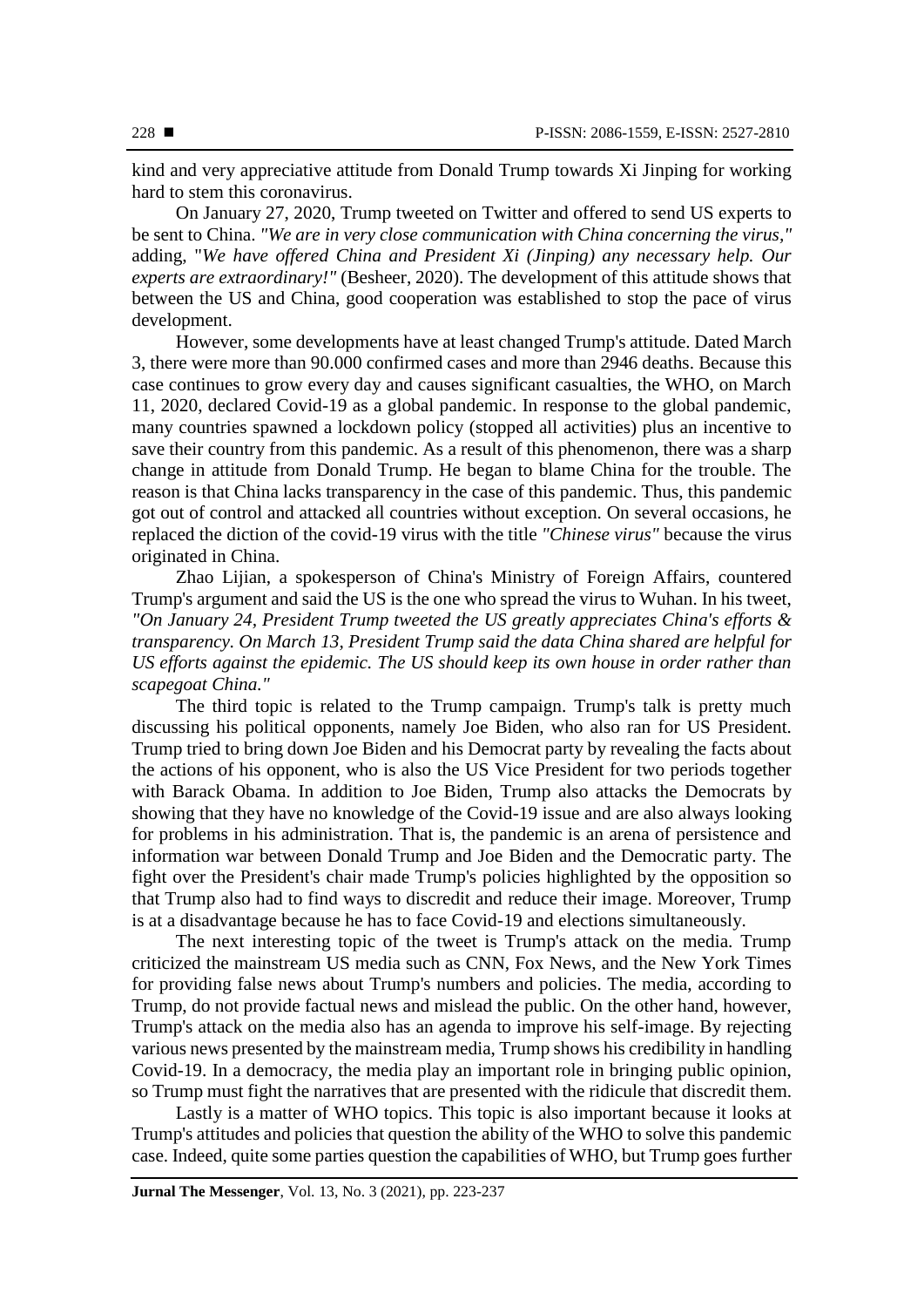kind and very appreciative attitude from Donald Trump towards Xi Jinping for working hard to stem this coronavirus.

On January 27, 2020, Trump tweeted on Twitter and offered to send US experts to be sent to China. *"We are in very close communication with China concerning the virus,"* adding, "*We have offered China and President Xi (Jinping) any necessary help. Our experts are extraordinary!"* (Besheer, 2020). The development of this attitude shows that between the US and China, good cooperation was established to stop the pace of virus development.

However, some developments have at least changed Trump's attitude. Dated March 3, there were more than 90.000 confirmed cases and more than 2946 deaths. Because this case continues to grow every day and causes significant casualties, the WHO, on March 11, 2020, declared Covid-19 as a global pandemic. In response to the global pandemic, many countries spawned a lockdown policy (stopped all activities) plus an incentive to save their country from this pandemic. As a result of this phenomenon, there was a sharp change in attitude from Donald Trump. He began to blame China for the trouble. The reason is that China lacks transparency in the case of this pandemic. Thus, this pandemic got out of control and attacked all countries without exception. On several occasions, he replaced the diction of the covid-19 virus with the title *"Chinese virus"* because the virus originated in China.

Zhao Lijian, a spokesperson of China's Ministry of Foreign Affairs, countered Trump's argument and said the US is the one who spread the virus to Wuhan. In his tweet, *"On January 24, President Trump tweeted the US greatly appreciates China's efforts & transparency. On March 13, President Trump said the data China shared are helpful for US efforts against the epidemic. The US should keep its own house in order rather than scapegoat China."*

The third topic is related to the Trump campaign. Trump's talk is pretty much discussing his political opponents, namely Joe Biden, who also ran for US President. Trump tried to bring down Joe Biden and his Democrat party by revealing the facts about the actions of his opponent, who is also the US Vice President for two periods together with Barack Obama. In addition to Joe Biden, Trump also attacks the Democrats by showing that they have no knowledge of the Covid-19 issue and are also always looking for problems in his administration. That is, the pandemic is an arena of persistence and information war between Donald Trump and Joe Biden and the Democratic party. The fight over the President's chair made Trump's policies highlighted by the opposition so that Trump also had to find ways to discredit and reduce their image. Moreover, Trump is at a disadvantage because he has to face Covid-19 and elections simultaneously.

The next interesting topic of the tweet is Trump's attack on the media. Trump criticized the mainstream US media such as CNN, Fox News, and the New York Times for providing false news about Trump's numbers and policies. The media, according to Trump, do not provide factual news and mislead the public. On the other hand, however, Trump's attack on the media also has an agenda to improve his self-image. By rejecting various news presented by the mainstream media, Trump shows his credibility in handling Covid-19. In a democracy, the media play an important role in bringing public opinion, so Trump must fight the narratives that are presented with the ridicule that discredit them.

Lastly is a matter of WHO topics. This topic is also important because it looks at Trump's attitudes and policies that question the ability of the WHO to solve this pandemic case. Indeed, quite some parties question the capabilities of WHO, but Trump goes further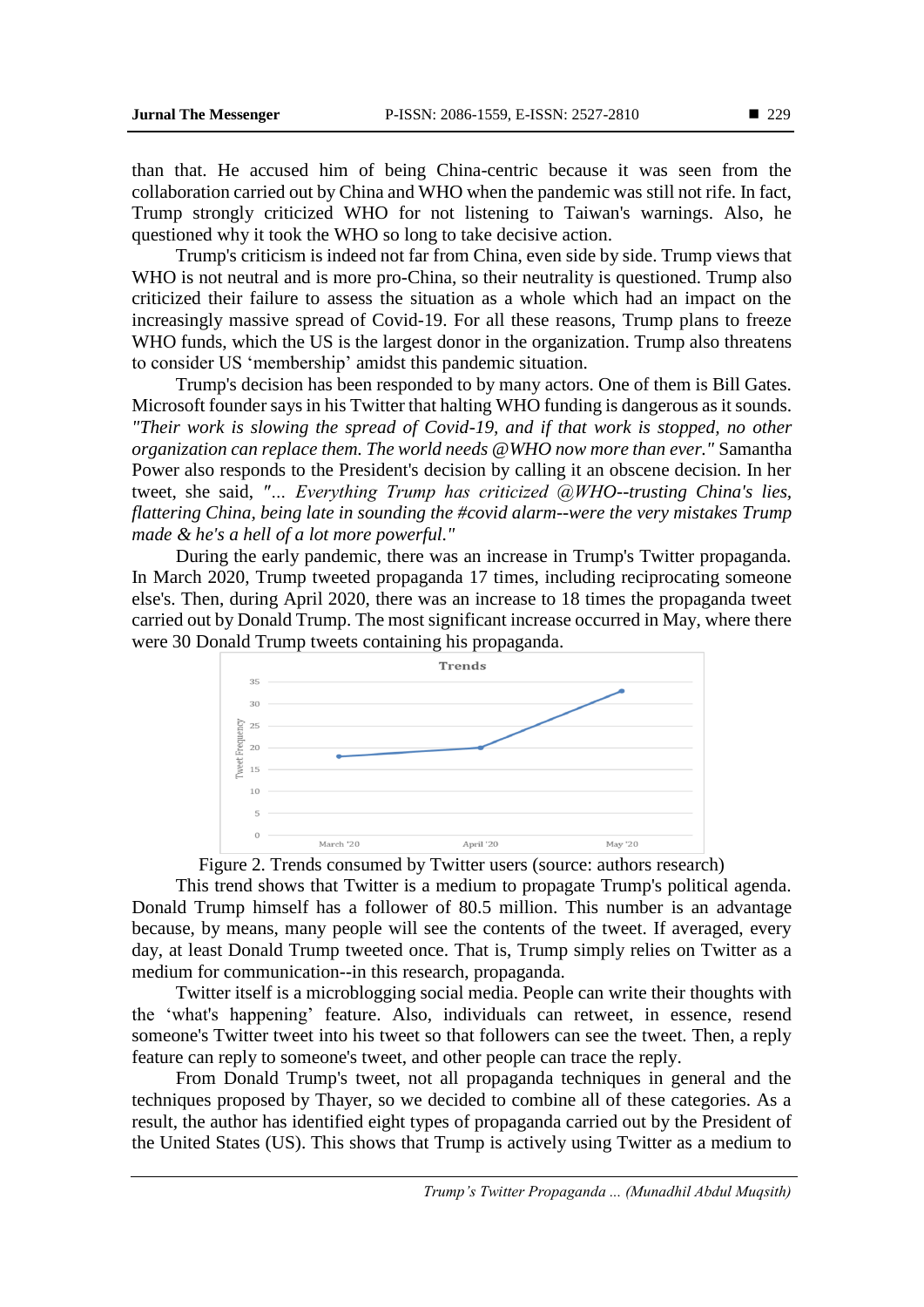than that. He accused him of being China-centric because it was seen from the collaboration carried out by China and WHO when the pandemic was still not rife. In fact, Trump strongly criticized WHO for not listening to Taiwan's warnings. Also, he questioned why it took the WHO so long to take decisive action.

Trump's criticism is indeed not far from China, even side by side. Trump views that WHO is not neutral and is more pro-China, so their neutrality is questioned. Trump also criticized their failure to assess the situation as a whole which had an impact on the increasingly massive spread of Covid-19. For all these reasons, Trump plans to freeze WHO funds, which the US is the largest donor in the organization. Trump also threatens to consider US 'membership' amidst this pandemic situation.

Trump's decision has been responded to by many actors. One of them is Bill Gates. Microsoft founder says in his Twitter that halting WHO funding is dangerous as it sounds. *"Their work is slowing the spread of Covid-19, and if that work is stopped, no other organization can replace them. The world needs @WHO now more than ever."* Samantha Power also responds to the President's decision by calling it an obscene decision. In her tweet, she said, *"… Everything Trump has criticized @WHO--trusting China's lies, flattering China, being late in sounding the #covid alarm--were the very mistakes Trump made & he's a hell of a lot more powerful."*

During the early pandemic, there was an increase in Trump's Twitter propaganda. In March 2020, Trump tweeted propaganda 17 times, including reciprocating someone else's. Then, during April 2020, there was an increase to 18 times the propaganda tweet carried out by Donald Trump. The most significant increase occurred in May, where there were 30 Donald Trump tweets containing his propaganda.



Figure 2. Trends consumed by Twitter users (source: authors research)

This trend shows that Twitter is a medium to propagate Trump's political agenda. Donald Trump himself has a follower of 80.5 million. This number is an advantage because, by means, many people will see the contents of the tweet. If averaged, every day, at least Donald Trump tweeted once. That is, Trump simply relies on Twitter as a medium for communication--in this research, propaganda.

Twitter itself is a microblogging social media. People can write their thoughts with the 'what's happening' feature. Also, individuals can retweet, in essence, resend someone's Twitter tweet into his tweet so that followers can see the tweet. Then, a reply feature can reply to someone's tweet, and other people can trace the reply.

From Donald Trump's tweet, not all propaganda techniques in general and the techniques proposed by Thayer, so we decided to combine all of these categories. As a result, the author has identified eight types of propaganda carried out by the President of the United States (US). This shows that Trump is actively using Twitter as a medium to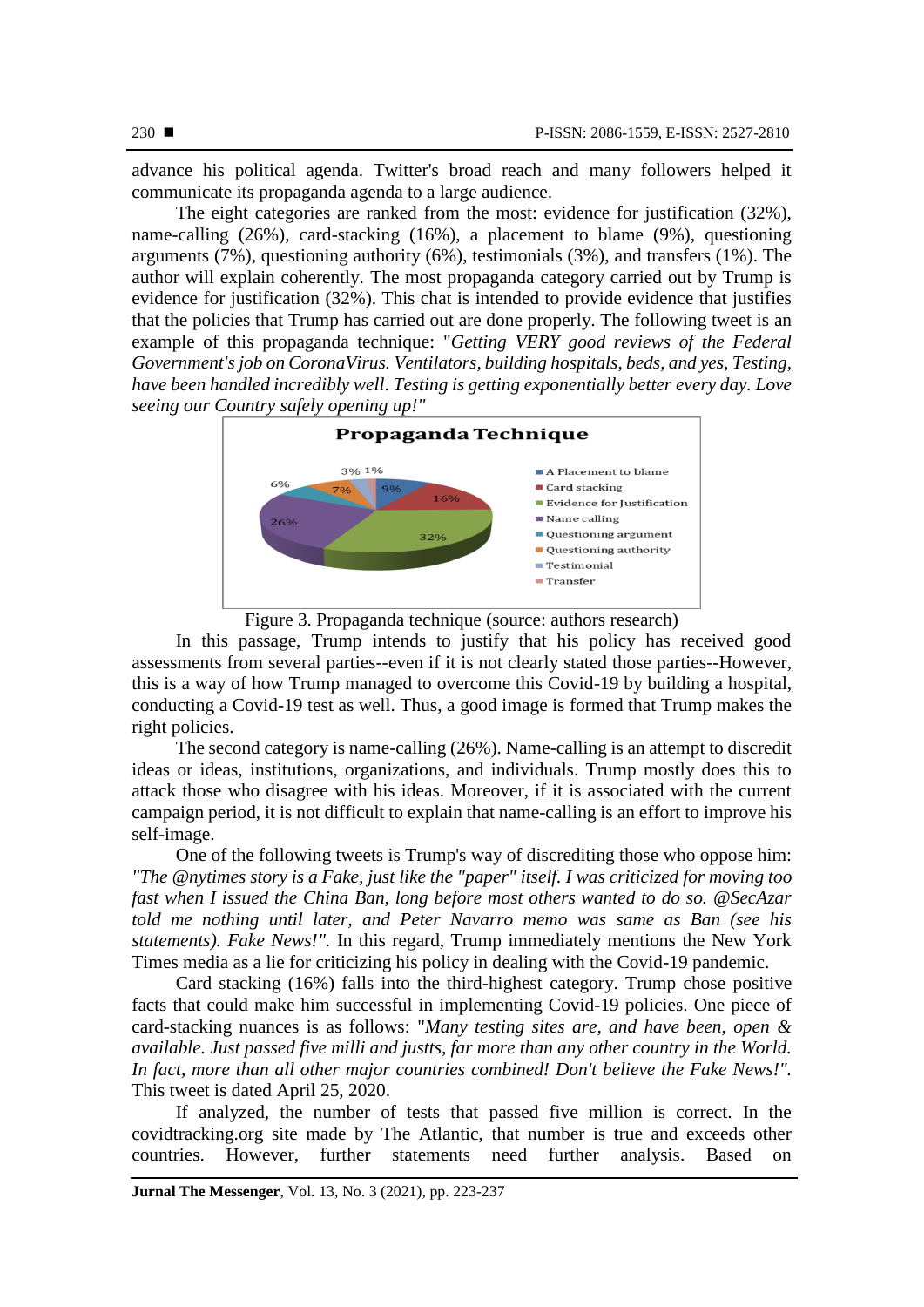advance his political agenda. Twitter's broad reach and many followers helped it communicate its propaganda agenda to a large audience.

The eight categories are ranked from the most: evidence for justification (32%), name-calling (26%), card-stacking (16%), a placement to blame (9%), questioning arguments (7%), questioning authority (6%), testimonials (3%), and transfers (1%). The author will explain coherently. The most propaganda category carried out by Trump is evidence for justification (32%). This chat is intended to provide evidence that justifies that the policies that Trump has carried out are done properly. The following tweet is an example of this propaganda technique: "*Getting VERY good reviews of the Federal Government's job on CoronaVirus. Ventilators, building hospitals, beds, and yes, Testing, have been handled incredibly well*. *Testing is getting exponentially better every day. Love seeing our Country safely opening up!"*



Figure 3. Propaganda technique (source: authors research)

In this passage, Trump intends to justify that his policy has received good assessments from several parties--even if it is not clearly stated those parties--However, this is a way of how Trump managed to overcome this Covid-19 by building a hospital, conducting a Covid-19 test as well. Thus, a good image is formed that Trump makes the right policies.

The second category is name-calling (26%). Name-calling is an attempt to discredit ideas or ideas, institutions, organizations, and individuals. Trump mostly does this to attack those who disagree with his ideas. Moreover, if it is associated with the current campaign period, it is not difficult to explain that name-calling is an effort to improve his self-image.

One of the following tweets is Trump's way of discrediting those who oppose him: *"The @nytimes story is a Fake, just like the "paper" itself. I was criticized for moving too fast when I issued the China Ban, long before most others wanted to do so. @SecAzar told me nothing until later, and Peter Navarro memo was same as Ban (see his statements). Fake News!".* In this regard, Trump immediately mentions the New York Times media as a lie for criticizing his policy in dealing with the Covid-19 pandemic.

Card stacking (16%) falls into the third-highest category. Trump chose positive facts that could make him successful in implementing Covid-19 policies. One piece of card-stacking nuances is as follows: "*Many testing sites are, and have been, open & available. Just passed five milli and justts, far more than any other country in the World. In fact, more than all other major countries combined! Don't believe the Fake News!".* This tweet is dated April 25, 2020.

If analyzed, the number of tests that passed five million is correct. In the covidtracking.org site made by The Atlantic, that number is true and exceeds other countries. However, further statements need further analysis. Based on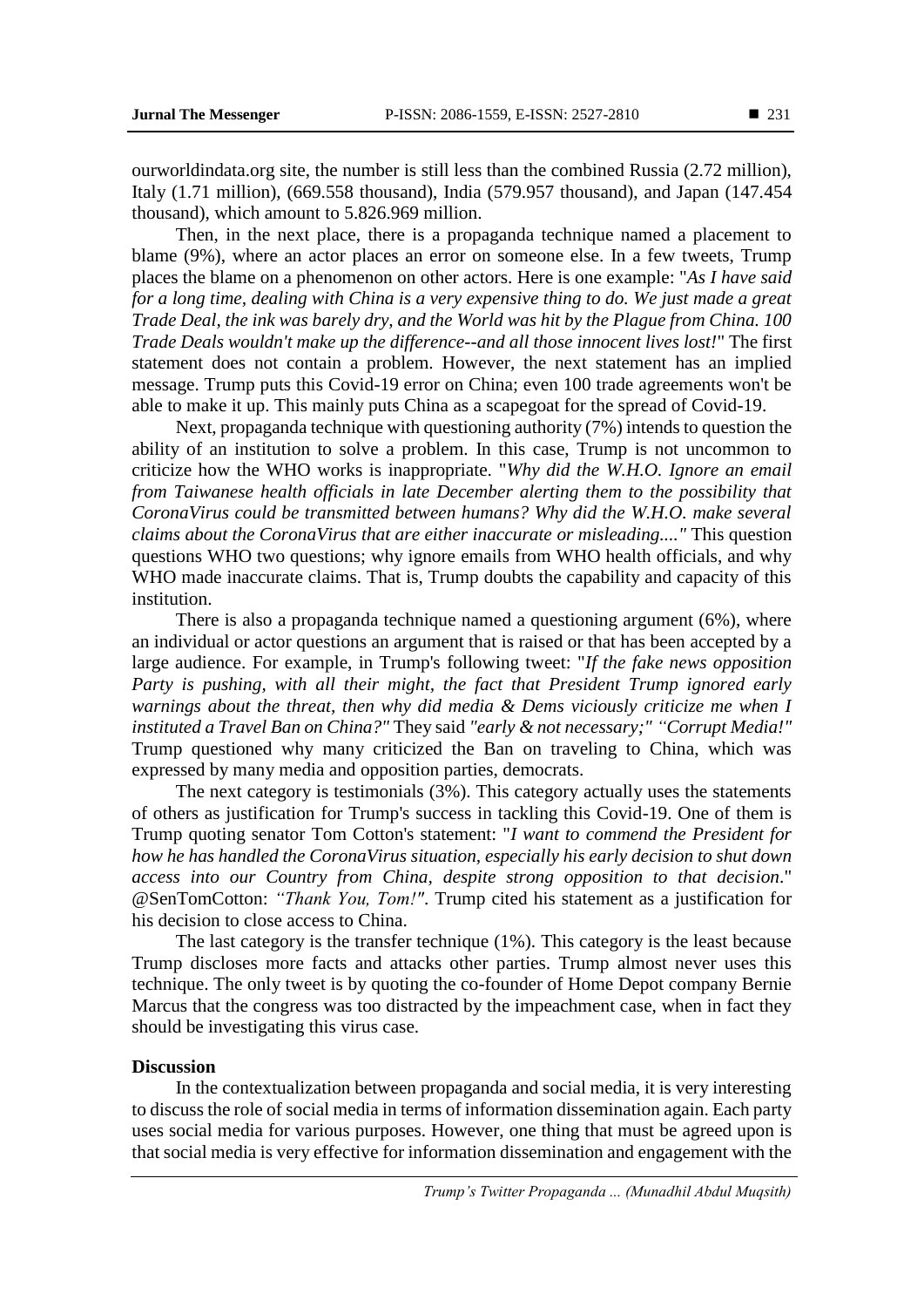ourworldindata.org site, the number is still less than the combined Russia (2.72 million), Italy (1.71 million), (669.558 thousand), India (579.957 thousand), and Japan (147.454 thousand), which amount to 5.826.969 million.

Then, in the next place, there is a propaganda technique named a placement to blame (9%), where an actor places an error on someone else. In a few tweets, Trump places the blame on a phenomenon on other actors. Here is one example: "*As I have said for a long time, dealing with China is a very expensive thing to do. We just made a great Trade Deal, the ink was barely dry, and the World was hit by the Plague from China. 100 Trade Deals wouldn't make up the difference--and all those innocent lives lost!*" The first statement does not contain a problem. However, the next statement has an implied message. Trump puts this Covid-19 error on China; even 100 trade agreements won't be able to make it up. This mainly puts China as a scapegoat for the spread of Covid-19.

Next, propaganda technique with questioning authority (7%) intends to question the ability of an institution to solve a problem. In this case, Trump is not uncommon to criticize how the WHO works is inappropriate. "*Why did the W.H.O. Ignore an email from Taiwanese health officials in late December alerting them to the possibility that CoronaVirus could be transmitted between humans? Why did the W.H.O. make several claims about the CoronaVirus that are either inaccurate or misleading...."* This question questions WHO two questions; why ignore emails from WHO health officials, and why WHO made inaccurate claims. That is, Trump doubts the capability and capacity of this institution.

There is also a propaganda technique named a questioning argument (6%), where an individual or actor questions an argument that is raised or that has been accepted by a large audience. For example, in Trump's following tweet: "*If the fake news opposition Party is pushing, with all their might, the fact that President Trump ignored early*  warnings about the threat, then why did media & Dems viciously criticize me when I *instituted a Travel Ban on China?"* They said *"early & not necessary;" "Corrupt Media!"* Trump questioned why many criticized the Ban on traveling to China, which was expressed by many media and opposition parties, democrats.

The next category is testimonials (3%). This category actually uses the statements of others as justification for Trump's success in tackling this Covid-19. One of them is Trump quoting senator Tom Cotton's statement: "*I want to commend the President for how he has handled the CoronaVirus situation, especially his early decision to shut down access into our Country from China, despite strong opposition to that decision*." @SenTomCotton: *"Thank You, Tom!"*. Trump cited his statement as a justification for his decision to close access to China.

The last category is the transfer technique (1%). This category is the least because Trump discloses more facts and attacks other parties. Trump almost never uses this technique. The only tweet is by quoting the co-founder of Home Depot company Bernie Marcus that the congress was too distracted by the impeachment case, when in fact they should be investigating this virus case.

# **Discussion**

In the contextualization between propaganda and social media, it is very interesting to discuss the role of social media in terms of information dissemination again. Each party uses social media for various purposes. However, one thing that must be agreed upon is that social media is very effective for information dissemination and engagement with the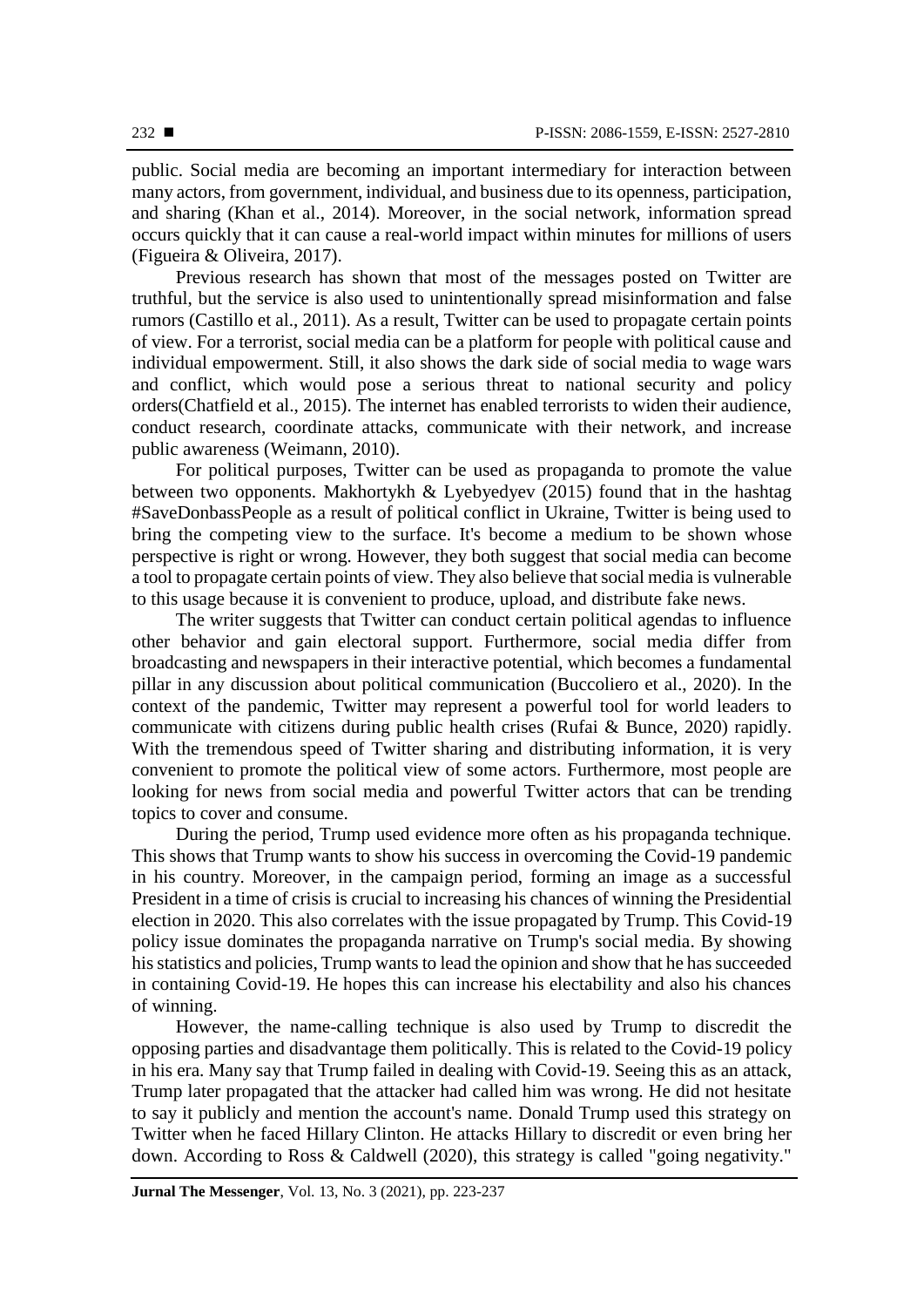public. Social media are becoming an important intermediary for interaction between many actors, from government, individual, and business due to its openness, participation, and sharing (Khan et al., 2014). Moreover, in the social network, information spread occurs quickly that it can cause a real-world impact within minutes for millions of users (Figueira & Oliveira, 2017).

Previous research has shown that most of the messages posted on Twitter are truthful, but the service is also used to unintentionally spread misinformation and false rumors (Castillo et al., 2011). As a result, Twitter can be used to propagate certain points of view. For a terrorist, social media can be a platform for people with political cause and individual empowerment. Still, it also shows the dark side of social media to wage wars and conflict, which would pose a serious threat to national security and policy orders(Chatfield et al., 2015). The internet has enabled terrorists to widen their audience, conduct research, coordinate attacks, communicate with their network, and increase public awareness (Weimann, 2010).

For political purposes, Twitter can be used as propaganda to promote the value between two opponents. Makhortykh & Lyebyedyev (2015) found that in the hashtag #SaveDonbassPeople as a result of political conflict in Ukraine, Twitter is being used to bring the competing view to the surface. It's become a medium to be shown whose perspective is right or wrong. However, they both suggest that social media can become a tool to propagate certain points of view. They also believe that social media is vulnerable to this usage because it is convenient to produce, upload, and distribute fake news.

The writer suggests that Twitter can conduct certain political agendas to influence other behavior and gain electoral support. Furthermore, social media differ from broadcasting and newspapers in their interactive potential, which becomes a fundamental pillar in any discussion about political communication (Buccoliero et al., 2020). In the context of the pandemic, Twitter may represent a powerful tool for world leaders to communicate with citizens during public health crises (Rufai & Bunce, 2020) rapidly. With the tremendous speed of Twitter sharing and distributing information, it is very convenient to promote the political view of some actors. Furthermore, most people are looking for news from social media and powerful Twitter actors that can be trending topics to cover and consume.

During the period, Trump used evidence more often as his propaganda technique. This shows that Trump wants to show his success in overcoming the Covid-19 pandemic in his country. Moreover, in the campaign period, forming an image as a successful President in a time of crisis is crucial to increasing his chances of winning the Presidential election in 2020. This also correlates with the issue propagated by Trump. This Covid-19 policy issue dominates the propaganda narrative on Trump's social media. By showing his statistics and policies, Trump wants to lead the opinion and show that he has succeeded in containing Covid-19. He hopes this can increase his electability and also his chances of winning.

However, the name-calling technique is also used by Trump to discredit the opposing parties and disadvantage them politically. This is related to the Covid-19 policy in his era. Many say that Trump failed in dealing with Covid-19. Seeing this as an attack, Trump later propagated that the attacker had called him was wrong. He did not hesitate to say it publicly and mention the account's name. Donald Trump used this strategy on Twitter when he faced Hillary Clinton. He attacks Hillary to discredit or even bring her down. According to Ross & Caldwell (2020), this strategy is called "going negativity."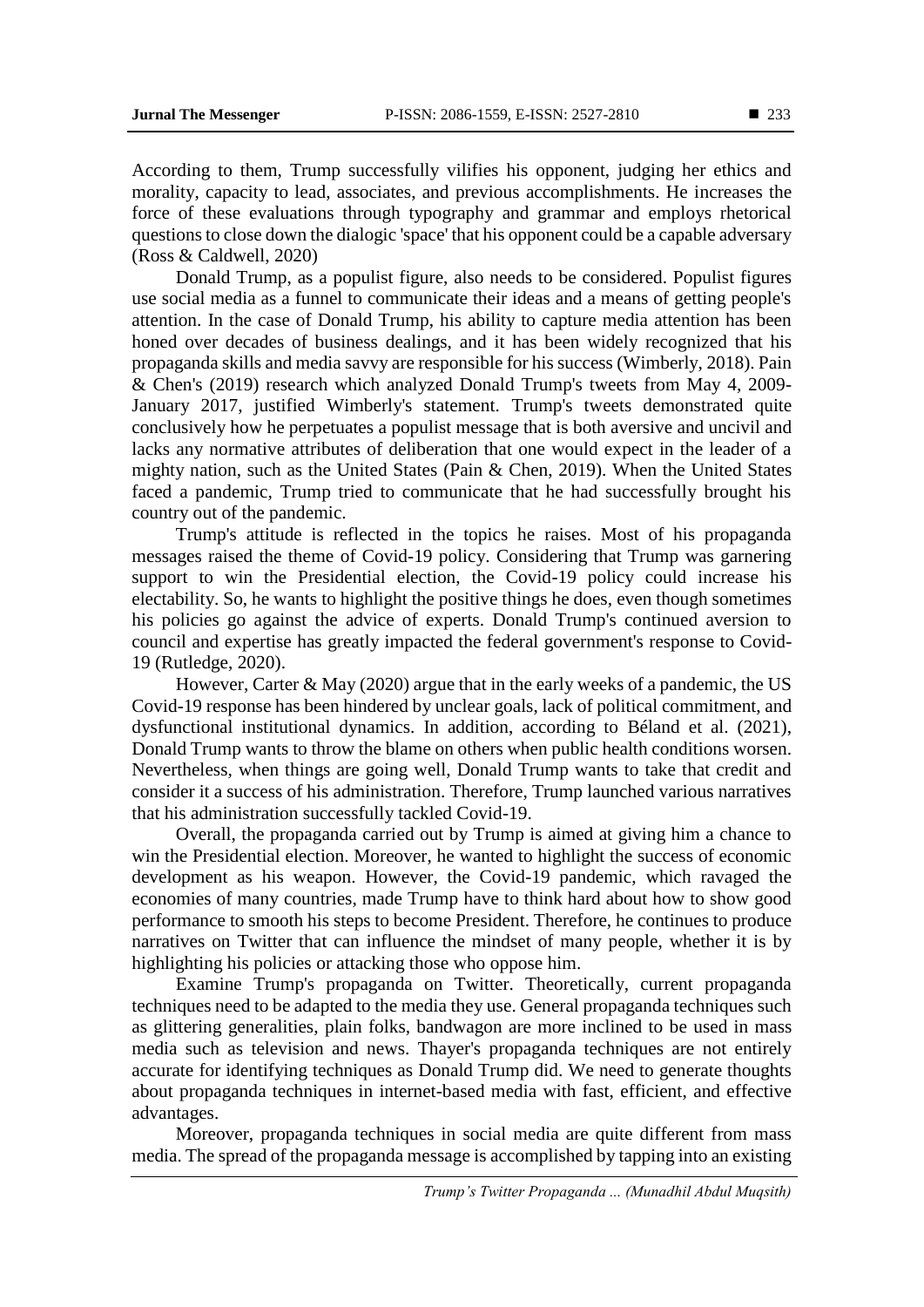According to them, Trump successfully vilifies his opponent, judging her ethics and morality, capacity to lead, associates, and previous accomplishments. He increases the force of these evaluations through typography and grammar and employs rhetorical questions to close down the dialogic 'space' that his opponent could be a capable adversary (Ross & Caldwell, 2020)

Donald Trump, as a populist figure, also needs to be considered. Populist figures use social media as a funnel to communicate their ideas and a means of getting people's attention. In the case of Donald Trump, his ability to capture media attention has been honed over decades of business dealings, and it has been widely recognized that his propaganda skills and media savvy are responsible for his success (Wimberly, 2018). Pain & Chen's (2019) research which analyzed Donald Trump's tweets from May 4, 2009- January 2017, justified Wimberly's statement. Trump's tweets demonstrated quite conclusively how he perpetuates a populist message that is both aversive and uncivil and lacks any normative attributes of deliberation that one would expect in the leader of a mighty nation, such as the United States (Pain & Chen, 2019). When the United States faced a pandemic, Trump tried to communicate that he had successfully brought his country out of the pandemic.

Trump's attitude is reflected in the topics he raises. Most of his propaganda messages raised the theme of Covid-19 policy. Considering that Trump was garnering support to win the Presidential election, the Covid-19 policy could increase his electability. So, he wants to highlight the positive things he does, even though sometimes his policies go against the advice of experts. Donald Trump's continued aversion to council and expertise has greatly impacted the federal government's response to Covid-19 (Rutledge, 2020).

However, Carter & May (2020) argue that in the early weeks of a pandemic, the US Covid-19 response has been hindered by unclear goals, lack of political commitment, and dysfunctional institutional dynamics. In addition, according to Béland et al. (2021), Donald Trump wants to throw the blame on others when public health conditions worsen. Nevertheless, when things are going well, Donald Trump wants to take that credit and consider it a success of his administration. Therefore, Trump launched various narratives that his administration successfully tackled Covid-19.

Overall, the propaganda carried out by Trump is aimed at giving him a chance to win the Presidential election. Moreover, he wanted to highlight the success of economic development as his weapon. However, the Covid-19 pandemic, which ravaged the economies of many countries, made Trump have to think hard about how to show good performance to smooth his steps to become President. Therefore, he continues to produce narratives on Twitter that can influence the mindset of many people, whether it is by highlighting his policies or attacking those who oppose him.

Examine Trump's propaganda on Twitter. Theoretically, current propaganda techniques need to be adapted to the media they use. General propaganda techniques such as glittering generalities, plain folks, bandwagon are more inclined to be used in mass media such as television and news. Thayer's propaganda techniques are not entirely accurate for identifying techniques as Donald Trump did. We need to generate thoughts about propaganda techniques in internet-based media with fast, efficient, and effective advantages.

Moreover, propaganda techniques in social media are quite different from mass media. The spread of the propaganda message is accomplished by tapping into an existing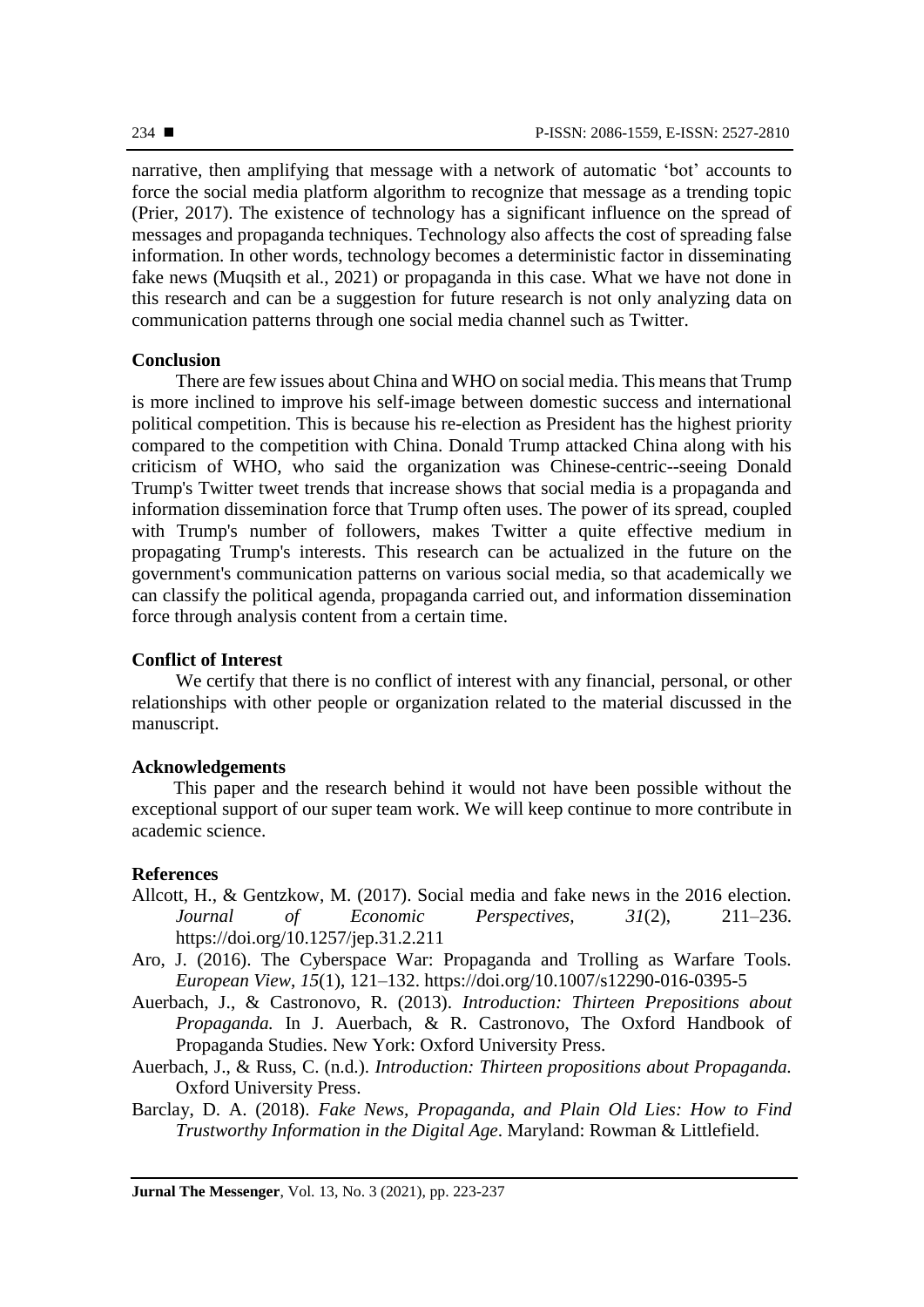narrative, then amplifying that message with a network of automatic 'bot' accounts to force the social media platform algorithm to recognize that message as a trending topic (Prier, 2017). The existence of technology has a significant influence on the spread of messages and propaganda techniques. Technology also affects the cost of spreading false information. In other words, technology becomes a deterministic factor in disseminating fake news (Muqsith et al., 2021) or propaganda in this case. What we have not done in this research and can be a suggestion for future research is not only analyzing data on communication patterns through one social media channel such as Twitter.

### **Conclusion**

There are few issues about China and WHO on social media. This means that Trump is more inclined to improve his self-image between domestic success and international political competition. This is because his re-election as President has the highest priority compared to the competition with China. Donald Trump attacked China along with his criticism of WHO, who said the organization was Chinese-centric--seeing Donald Trump's Twitter tweet trends that increase shows that social media is a propaganda and information dissemination force that Trump often uses. The power of its spread, coupled with Trump's number of followers, makes Twitter a quite effective medium in propagating Trump's interests. This research can be actualized in the future on the government's communication patterns on various social media, so that academically we can classify the political agenda, propaganda carried out, and information dissemination force through analysis content from a certain time.

### **Conflict of Interest**

We certify that there is no conflict of interest with any financial, personal, or other relationships with other people or organization related to the material discussed in the manuscript.

#### **Acknowledgements**

 This paper and the research behind it would not have been possible without the exceptional support of our super team work. We will keep continue to more contribute in academic science.

# **References**

- Allcott, H., & Gentzkow, M. (2017). Social media and fake news in the 2016 election. *Journal of Economic Perspectives, 31*(2), 211–236. <https://doi.org/10.1257/jep.31.2.211>
- Aro, J. (2016). The Cyberspace War: Propaganda and Trolling as Warfare Tools. *European View*, *15*(1), 121–132.<https://doi.org/10.1007/s12290-016-0395-5>
- Auerbach, J., & Castronovo, R. (2013). *Introduction: Thirteen Prepositions about Propaganda.* In J. Auerbach, & R. Castronovo, The Oxford Handbook of Propaganda Studies. New York: Oxford University Press.
- Auerbach, J., & Russ, C. (n.d.). *Introduction: Thirteen propositions about Propaganda.*  Oxford University Press.
- Barclay, D. A. (2018). *Fake News, Propaganda, and Plain Old Lies: How to Find Trustworthy Information in the Digital Age*. Maryland: Rowman & Littlefield.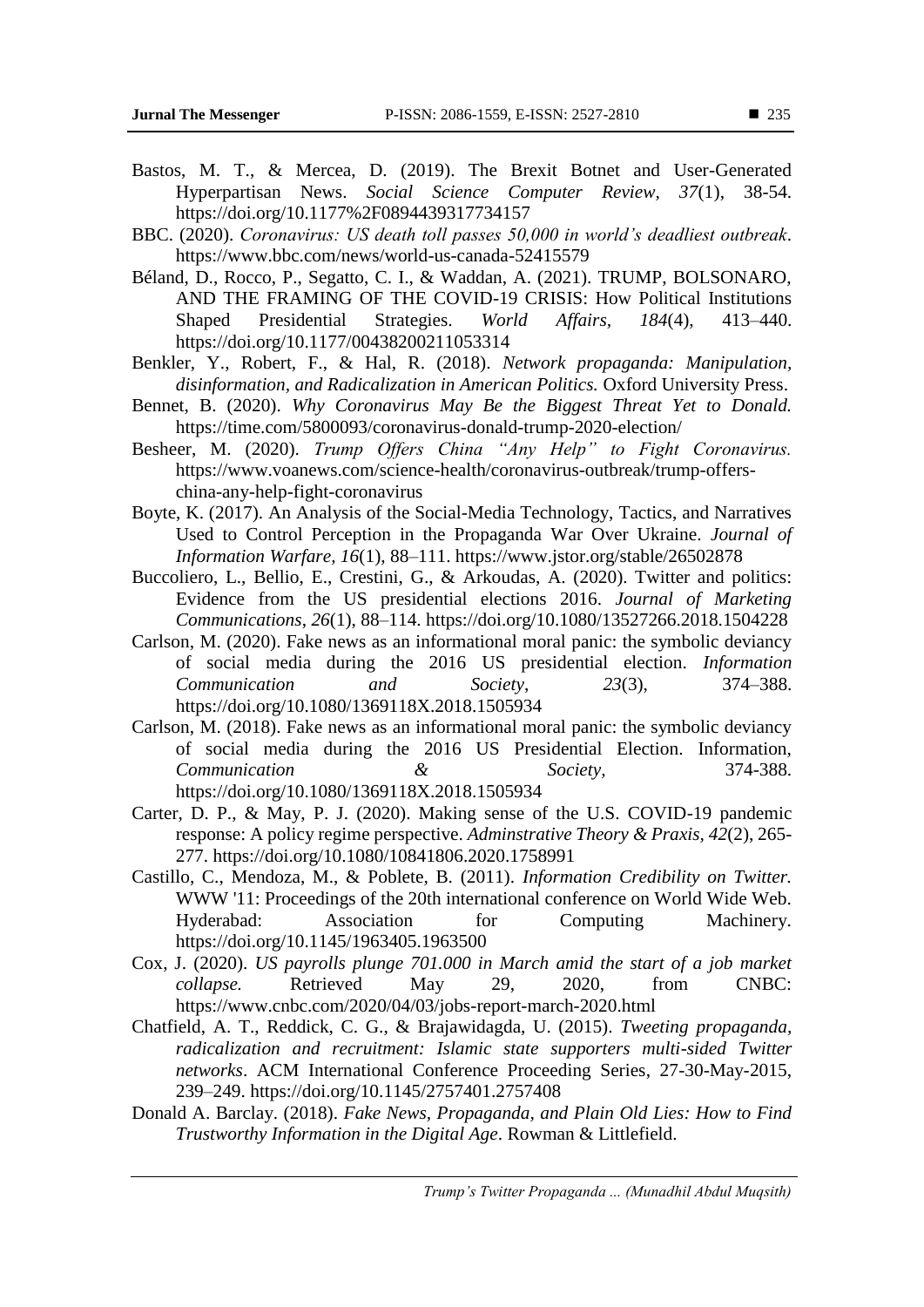- Bastos, M. T., & Mercea, D. (2019). The Brexit Botnet and User-Generated Hyperpartisan News. *Social Science Computer Review, 37*(1), 38-54. <https://doi.org/10.1177%2F0894439317734157>
- BBC. (2020). *Coronavirus: US death toll passes 50,000 in world's deadliest outbreak*. <https://www.bbc.com/news/world-us-canada-52415579>
- Béland, D., Rocco, P., Segatto, C. I., & Waddan, A. (2021). TRUMP, BOLSONARO, AND THE FRAMING OF THE COVID-19 CRISIS: How Political Institutions Shaped Presidential Strategies. *World Affairs, 184*(4), 413–440. https://doi.org/10.1177/00438200211053314
- Benkler, Y., Robert, F., & Hal, R. (2018). *Network propaganda: Manipulation, disinformation, and Radicalization in American Politics.* Oxford University Press.
- Bennet, B. (2020). *Why Coronavirus May Be the Biggest Threat Yet to Donald.* <https://time.com/5800093/coronavirus-donald-trump-2020-election/>
- Besheer, M. (2020). *Trump Offers China "Any Help" to Fight Coronavirus.*  [https://www.voanews.com/science-health/coronavirus-outbreak/trump-offers](https://www.voanews.com/science-health/coronavirus-outbreak/trump-offers-china-any-help-fight-coronavirus)[china-any-help-fight-coronavirus](https://www.voanews.com/science-health/coronavirus-outbreak/trump-offers-china-any-help-fight-coronavirus)
- Boyte, K. (2017). An Analysis of the Social-Media Technology, Tactics, and Narratives Used to Control Perception in the Propaganda War Over Ukraine. *Journal of Information Warfare, 16*(1), 88–111. https://www.jstor.org/stable/26502878
- Buccoliero, L., Bellio, E., Crestini, G., & Arkoudas, A. (2020). Twitter and politics: Evidence from the US presidential elections 2016. *Journal of Marketing Communications*, *26*(1), 88–114.<https://doi.org/10.1080/13527266.2018.1504228>
- Carlson, M. (2020). Fake news as an informational moral panic: the symbolic deviancy of social media during the 2016 US presidential election. *Information Communication and Society*, *23*(3), 374–388. <https://doi.org/10.1080/1369118X.2018.1505934>
- Carlson, M. (2018). Fake news as an informational moral panic: the symbolic deviancy of social media during the 2016 US Presidential Election. Information, *Communication & Society,* 374-388. <https://doi.org/10.1080/1369118X.2018.1505934>
- Carter, D. P., & May, P. J. (2020). Making sense of the U.S. COVID-19 pandemic response: A policy regime perspective. *Adminstrative Theory & Praxis, 42*(2), 265- 277.<https://doi.org/10.1080/10841806.2020.1758991>
- Castillo, C., Mendoza, M., & Poblete, B. (2011). *Information Credibility on Twitter.* WWW '11: Proceedings of the 20th international conference on World Wide Web. Hyderabad: Association for Computing Machinery. <https://doi.org/10.1145/1963405.1963500>
- Cox, J. (2020). *US payrolls plunge 701.000 in March amid the start of a job market collapse.* Retrieved May 29, 2020, from CNBC: <https://www.cnbc.com/2020/04/03/jobs-report-march-2020.html>
- Chatfield, A. T., Reddick, C. G., & Brajawidagda, U. (2015). *Tweeting propaganda, radicalization and recruitment: Islamic state supporters multi-sided Twitter networks*. ACM International Conference Proceeding Series, 27-30-May-2015, 239–249.<https://doi.org/10.1145/2757401.2757408>
- Donald A. Barclay. (2018). *Fake News, Propaganda, and Plain Old Lies: How to Find Trustworthy Information in the Digital Age*. Rowman & Littlefield.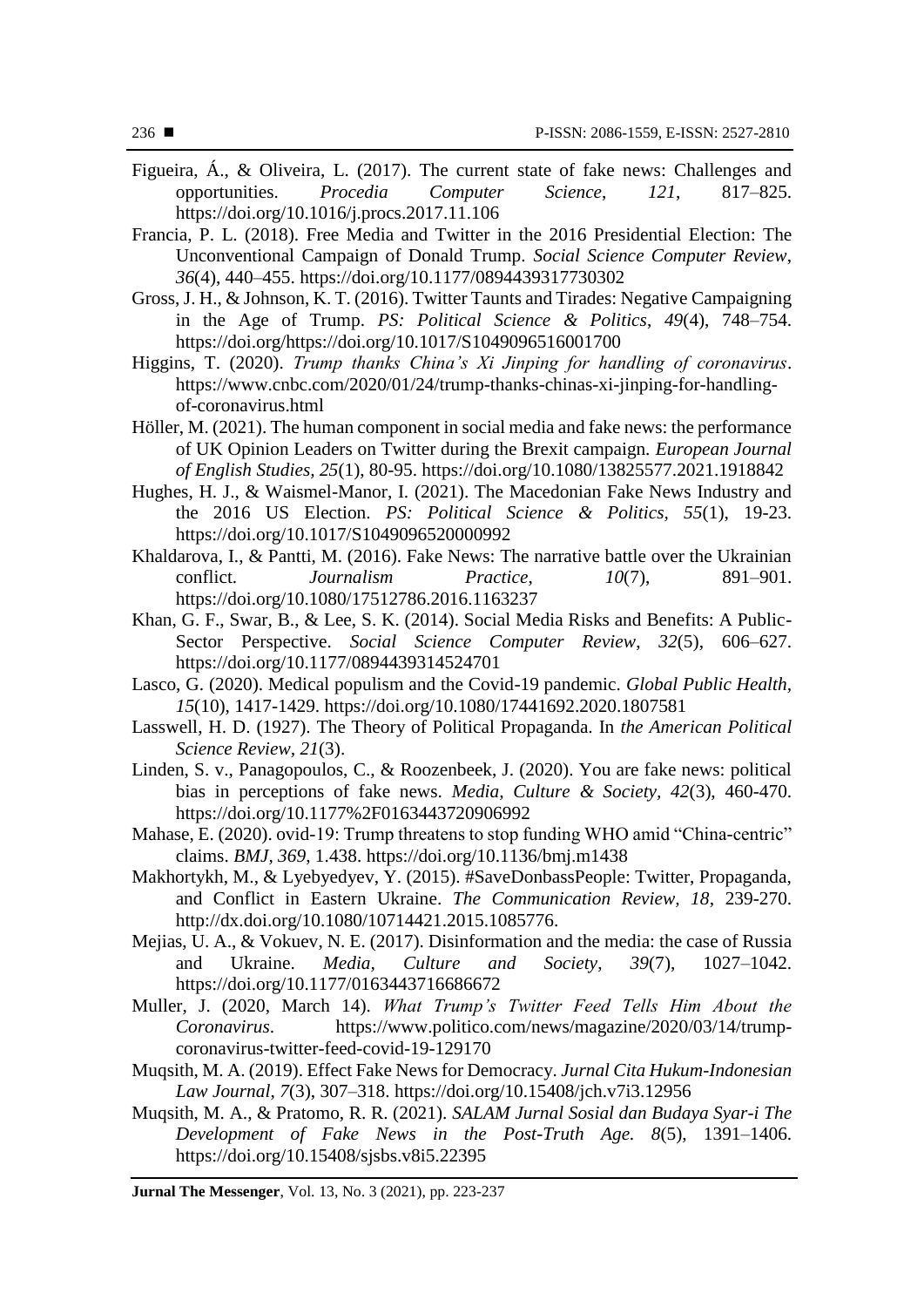- Figueira, Á., & Oliveira, L. (2017). The current state of fake news: Challenges and opportunities. *Procedia Computer Science*, *121*, 817–825. <https://doi.org/10.1016/j.procs.2017.11.106>
- Francia, P. L. (2018). Free Media and Twitter in the 2016 Presidential Election: The Unconventional Campaign of Donald Trump. *Social Science Computer Review*, *36*(4), 440–455.<https://doi.org/10.1177/0894439317730302>
- Gross, J. H., & Johnson, K. T. (2016). Twitter Taunts and Tirades: Negative Campaigning in the Age of Trump. *PS: Political Science & Politics*, *49*(4), 748–754. [https://doi.org/https://doi.org/10.1017/S1049096516001700](https://doi.org/https:/doi.org/10.1017/S1049096516001700)
- Higgins, T. (2020). *Trump thanks China's Xi Jinping for handling of coronavirus*. [https://www.cnbc.com/2020/01/24/trump-thanks-chinas-xi-jinping-for-handling](https://www.cnbc.com/2020/01/24/trump-thanks-chinas-xi-jinping-for-handling-of-coronavirus.html)[of-coronavirus.html](https://www.cnbc.com/2020/01/24/trump-thanks-chinas-xi-jinping-for-handling-of-coronavirus.html)
- Höller, M. (2021). The human component in social media and fake news: the performance of UK Opinion Leaders on Twitter during the Brexit campaign. *European Journal of English Studies, 25*(1), 80-95. <https://doi.org/10.1080/13825577.2021.1918842>
- Hughes, H. J., & Waismel-Manor, I. (2021). The Macedonian Fake News Industry and the 2016 US Election. *PS: Political Science & Politics, 55*(1), 19-23. <https://doi.org/10.1017/S1049096520000992>
- Khaldarova, I., & Pantti, M. (2016). Fake News: The narrative battle over the Ukrainian conflict. *Journalism Practice*, *10*(7), 891–901. <https://doi.org/10.1080/17512786.2016.1163237>
- Khan, G. F., Swar, B., & Lee, S. K. (2014). Social Media Risks and Benefits: A Public-Sector Perspective. *Social Science Computer Review*, *32*(5), 606–627. <https://doi.org/10.1177/0894439314524701>
- Lasco, G. (2020). Medical populism and the Covid-19 pandemic. *Global Public Health, 15*(10), 1417-1429. https://doi.org/10.1080/17441692.2020.1807581
- Lasswell, H. D. (1927). The Theory of Political Propaganda. In *the American Political Science Review, 21*(3).
- Linden, S. v., Panagopoulos, C., & Roozenbeek, J. (2020). You are fake news: political bias in perceptions of fake news. *Media, Culture & Society, 42*(3), 460-470. <https://doi.org/10.1177%2F0163443720906992>
- Mahase, E. (2020). ovid-19: Trump threatens to stop funding WHO amid "China-centric" claims. *BMJ, 369*, 1.438. https://doi.org/10.1136/bmj.m1438
- Makhortykh, M., & Lyebyedyev, Y. (2015). #SaveDonbassPeople: Twitter, Propaganda, and Conflict in Eastern Ukraine. *The Communication Review, 18*, 239-270. [http://dx.doi.org/10.1080/10714421.2015.1085776.](http://dx.doi.org/10.1080/10714421.2015.1085776)
- Mejias, U. A., & Vokuev, N. E. (2017). Disinformation and the media: the case of Russia and Ukraine. *Media, Culture and Society*, *39*(7), 1027–1042. <https://doi.org/10.1177/0163443716686672>
- Muller, J. (2020, March 14). *What Trump's Twitter Feed Tells Him About the Coronavirus*. [https://www.politico.com/news/magazine/2020/03/14/trump](https://www.politico.com/news/magazine/2020/03/14/trump-coronavirus-twitter-feed-covid-19-129170)[coronavirus-twitter-feed-covid-19-129170](https://www.politico.com/news/magazine/2020/03/14/trump-coronavirus-twitter-feed-covid-19-129170)
- Muqsith, M. A. (2019). Effect Fake News for Democracy. *Jurnal Cita Hukum-Indonesian Law Journal*, *7*(3), 307–318.<https://doi.org/10.15408/jch.v7i3.12956>
- Muqsith, M. A., & Pratomo, R. R. (2021). *SALAM Jurnal Sosial dan Budaya Syar-i The Development of Fake News in the Post-Truth Age. 8*(5), 1391–1406. <https://doi.org/10.15408/sjsbs.v8i5.22395>

**Jurnal The Messenger**, Vol. 13, No. 3 (2021), pp. 223-237